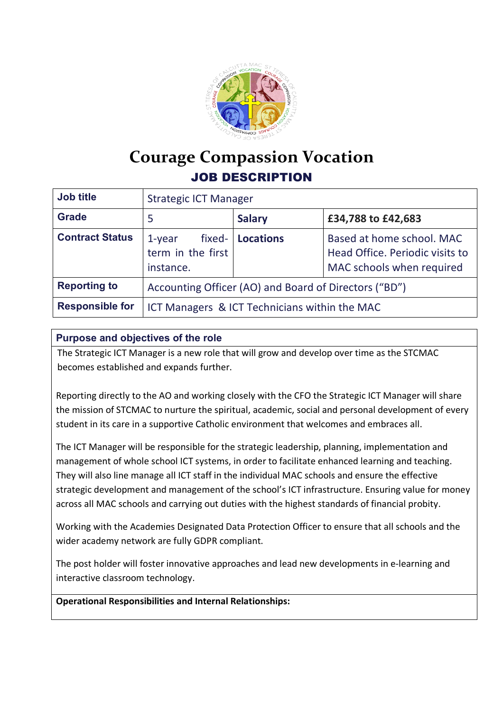

## **Courage Compassion Vocation** JOB DESCRIPTION

| <b>Job title</b>       | <b>Strategic ICT Manager</b>                          |                  |                                                                                           |
|------------------------|-------------------------------------------------------|------------------|-------------------------------------------------------------------------------------------|
| <b>Grade</b>           | 5                                                     | <b>Salary</b>    | £34,788 to £42,683                                                                        |
| <b>Contract Status</b> | fixed-<br>1-year<br>term in the first<br>instance.    | <b>Locations</b> | Based at home school. MAC<br>Head Office. Periodic visits to<br>MAC schools when required |
| <b>Reporting to</b>    | Accounting Officer (AO) and Board of Directors ("BD") |                  |                                                                                           |
| <b>Responsible for</b> | ICT Managers & ICT Technicians within the MAC         |                  |                                                                                           |

## **Purpose and objectives of the role**

The Strategic ICT Manager is a new role that will grow and develop over time as the STCMAC becomes established and expands further.

Reporting directly to the AO and working closely with the CFO the Strategic ICT Manager will share the mission of STCMAC to nurture the spiritual, academic, social and personal development of every student in its care in a supportive Catholic environment that welcomes and embraces all.

The ICT Manager will be responsible for the strategic leadership, planning, implementation and management of whole school ICT systems, in order to facilitate enhanced learning and teaching. They will also line manage all ICT staff in the individual MAC schools and ensure the effective strategic development and management of the school's ICT infrastructure. Ensuring value for money across all MAC schools and carrying out duties with the highest standards of financial probity.

Working with the Academies Designated Data Protection Officer to ensure that all schools and the wider academy network are fully GDPR compliant.

The post holder will foster innovative approaches and lead new developments in e-learning and interactive classroom technology.

**Operational Responsibilities and Internal Relationships:**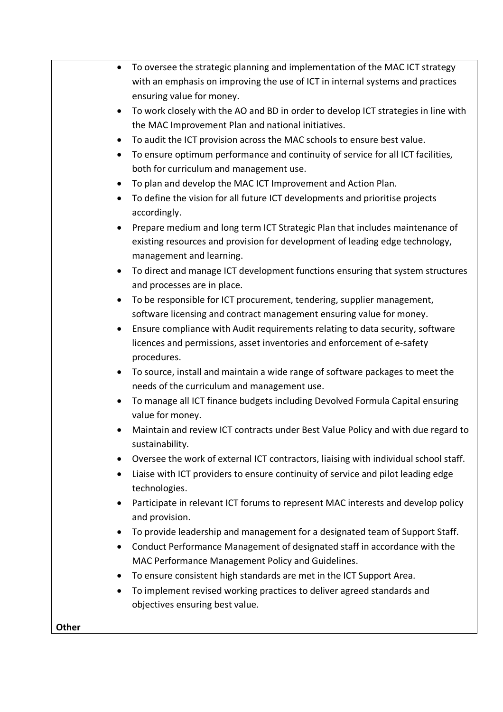|              | To oversee the strategic planning and implementation of the MAC ICT strategy<br>$\bullet$<br>with an emphasis on improving the use of ICT in internal systems and practices<br>ensuring value for money. |
|--------------|----------------------------------------------------------------------------------------------------------------------------------------------------------------------------------------------------------|
|              | To work closely with the AO and BD in order to develop ICT strategies in line with<br>$\bullet$                                                                                                          |
|              | the MAC Improvement Plan and national initiatives.                                                                                                                                                       |
|              | To audit the ICT provision across the MAC schools to ensure best value.                                                                                                                                  |
|              | To ensure optimum performance and continuity of service for all ICT facilities,<br>$\bullet$<br>both for curriculum and management use.                                                                  |
|              |                                                                                                                                                                                                          |
|              | To plan and develop the MAC ICT Improvement and Action Plan.<br>$\bullet$                                                                                                                                |
|              | To define the vision for all future ICT developments and prioritise projects<br>$\bullet$<br>accordingly.                                                                                                |
|              | Prepare medium and long term ICT Strategic Plan that includes maintenance of<br>existing resources and provision for development of leading edge technology,<br>management and learning.                 |
|              | To direct and manage ICT development functions ensuring that system structures<br>$\bullet$<br>and processes are in place.                                                                               |
|              | To be responsible for ICT procurement, tendering, supplier management,<br>$\bullet$                                                                                                                      |
|              | software licensing and contract management ensuring value for money.                                                                                                                                     |
|              | Ensure compliance with Audit requirements relating to data security, software<br>$\bullet$                                                                                                               |
|              | licences and permissions, asset inventories and enforcement of e-safety<br>procedures.                                                                                                                   |
|              | To source, install and maintain a wide range of software packages to meet the<br>$\bullet$                                                                                                               |
|              | needs of the curriculum and management use.                                                                                                                                                              |
|              | To manage all ICT finance budgets including Devolved Formula Capital ensuring<br>$\bullet$                                                                                                               |
|              | value for money.                                                                                                                                                                                         |
|              | Maintain and review ICT contracts under Best Value Policy and with due regard to<br>sustainability.                                                                                                      |
|              | Oversee the work of external ICT contractors, liaising with individual school staff.<br>$\bullet$                                                                                                        |
|              | Liaise with ICT providers to ensure continuity of service and pilot leading edge<br>$\bullet$<br>technologies.                                                                                           |
|              | Participate in relevant ICT forums to represent MAC interests and develop policy<br>$\bullet$<br>and provision.                                                                                          |
|              | To provide leadership and management for a designated team of Support Staff.<br>$\bullet$                                                                                                                |
|              | Conduct Performance Management of designated staff in accordance with the                                                                                                                                |
|              | $\bullet$<br>MAC Performance Management Policy and Guidelines.                                                                                                                                           |
|              | To ensure consistent high standards are met in the ICT Support Area.<br>$\bullet$                                                                                                                        |
|              |                                                                                                                                                                                                          |
|              | To implement revised working practices to deliver agreed standards and<br>٠<br>objectives ensuring best value.                                                                                           |
| <b>Other</b> |                                                                                                                                                                                                          |